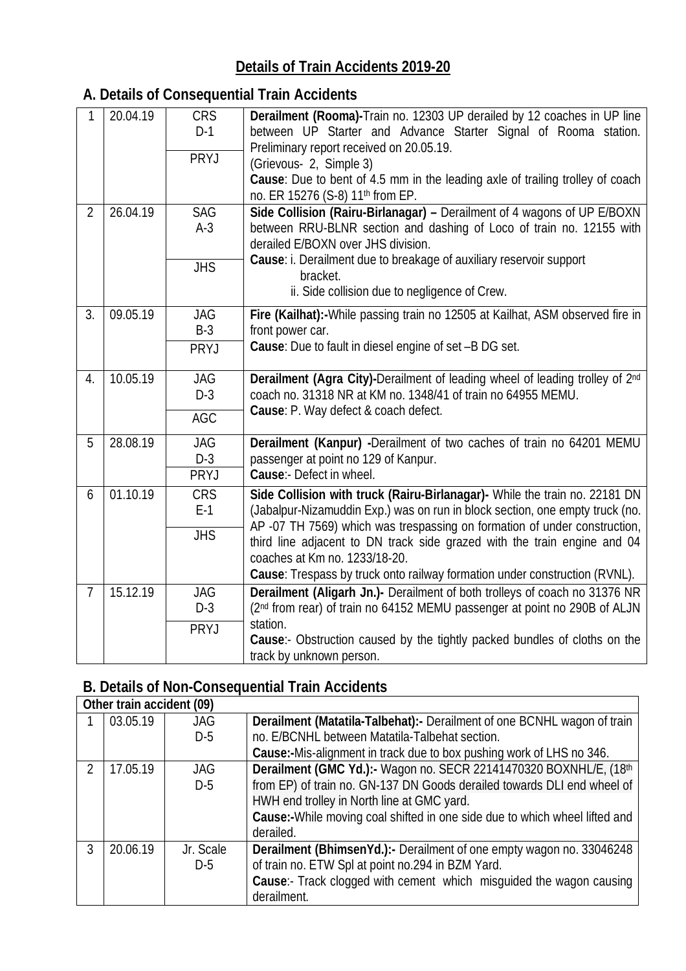## **Details of Train Accidents 2019-20**

## **A. Details of Consequential Train Accidents**

| 1              | 20.04.19 | <b>CRS</b><br>$D-1$<br><b>PRYJ</b> | Derailment (Rooma)-Train no. 12303 UP derailed by 12 coaches in UP line<br>between UP Starter and Advance Starter Signal of Rooma station.<br>Preliminary report received on 20.05.19.<br>(Grievous- 2, Simple 3)<br>Cause: Due to bent of 4.5 mm in the leading axle of trailing trolley of coach<br>no. ER 15276 (S-8) 11 <sup>th</sup> from EP.                                                                                 |
|----------------|----------|------------------------------------|------------------------------------------------------------------------------------------------------------------------------------------------------------------------------------------------------------------------------------------------------------------------------------------------------------------------------------------------------------------------------------------------------------------------------------|
| $\overline{2}$ | 26.04.19 | <b>SAG</b><br>$A-3$                | Side Collision (Rairu-Birlanagar) - Derailment of 4 wagons of UP E/BOXN<br>between RRU-BLNR section and dashing of Loco of train no. 12155 with<br>derailed E/BOXN over JHS division.<br>Cause: i. Derailment due to breakage of auxiliary reservoir support                                                                                                                                                                       |
|                |          | <b>JHS</b>                         | bracket.<br>ii. Side collision due to negligence of Crew.                                                                                                                                                                                                                                                                                                                                                                          |
| 3.             | 09.05.19 | <b>JAG</b><br>$B-3$                | Fire (Kailhat):-While passing train no 12505 at Kailhat, ASM observed fire in<br>front power car.                                                                                                                                                                                                                                                                                                                                  |
|                |          | PRYJ                               | Cause: Due to fault in diesel engine of set -B DG set.                                                                                                                                                                                                                                                                                                                                                                             |
| 4.             | 10.05.19 | <b>JAG</b><br>$D-3$<br>AGC         | Derailment (Agra City)-Derailment of leading wheel of leading trolley of 2nd<br>coach no. 31318 NR at KM no. 1348/41 of train no 64955 MEMU.<br>Cause: P. Way defect & coach defect.                                                                                                                                                                                                                                               |
| 5              | 28.08.19 | <b>JAG</b><br>$D-3$<br><b>PRYJ</b> | Derailment (Kanpur) -Derailment of two caches of train no 64201 MEMU<br>passenger at point no 129 of Kanpur.<br>Cause:- Defect in wheel.                                                                                                                                                                                                                                                                                           |
| 6              | 01.10.19 | <b>CRS</b><br>$E-1$<br><b>JHS</b>  | Side Collision with truck (Rairu-Birlanagar)- While the train no. 22181 DN<br>(Jabalpur-Nizamuddin Exp.) was on run in block section, one empty truck (no.<br>AP -07 TH 7569) which was trespassing on formation of under construction,<br>third line adjacent to DN track side grazed with the train engine and 04<br>coaches at Km no. 1233/18-20.<br>Cause: Trespass by truck onto railway formation under construction (RVNL). |
| $\overline{7}$ | 15.12.19 | <b>JAG</b><br>$D-3$<br>PRYJ        | Derailment (Aligarh Jn.)- Derailment of both trolleys of coach no 31376 NR<br>(2 <sup>nd</sup> from rear) of train no 64152 MEMU passenger at point no 290B of ALJN<br>station.<br>Cause:- Obstruction caused by the tightly packed bundles of cloths on the<br>track by unknown person.                                                                                                                                           |

## **B. Details of Non-Consequential Train Accidents**

|               | Other train accident (09) |            |                                                                              |  |
|---------------|---------------------------|------------|------------------------------------------------------------------------------|--|
|               | 03.05.19                  | <b>JAG</b> | Derailment (Matatila-Talbehat):- Derailment of one BCNHL wagon of train      |  |
|               |                           | $D-5$      | no. E/BCNHL between Matatila-Talbehat section.                               |  |
|               |                           |            | <b>Cause:-</b> Mis-alignment in track due to box pushing work of LHS no 346. |  |
| $\mathcal{P}$ | 17.05.19                  | <b>JAG</b> | Derailment (GMC Yd.):- Wagon no. SECR 22141470320 BOXNHL/E, (18th            |  |
|               |                           | $D-5$      | from EP) of train no. GN-137 DN Goods derailed towards DLI end wheel of      |  |
|               |                           |            | HWH end trolley in North line at GMC yard.                                   |  |
|               |                           |            | Cause:-While moving coal shifted in one side due to which wheel lifted and   |  |
|               |                           |            | derailed.                                                                    |  |
| 3             | 20.06.19                  | Jr. Scale  | <b>Derailment (BhimsenYd.):-</b> Derailment of one empty wagon no. 33046248  |  |
|               |                           | $D-5$      | of train no. ETW Spl at point no.294 in BZM Yard.                            |  |
|               |                           |            | <b>Cause:</b> Track clogged with cement which misquided the wagon causing    |  |
|               |                           |            | derailment.                                                                  |  |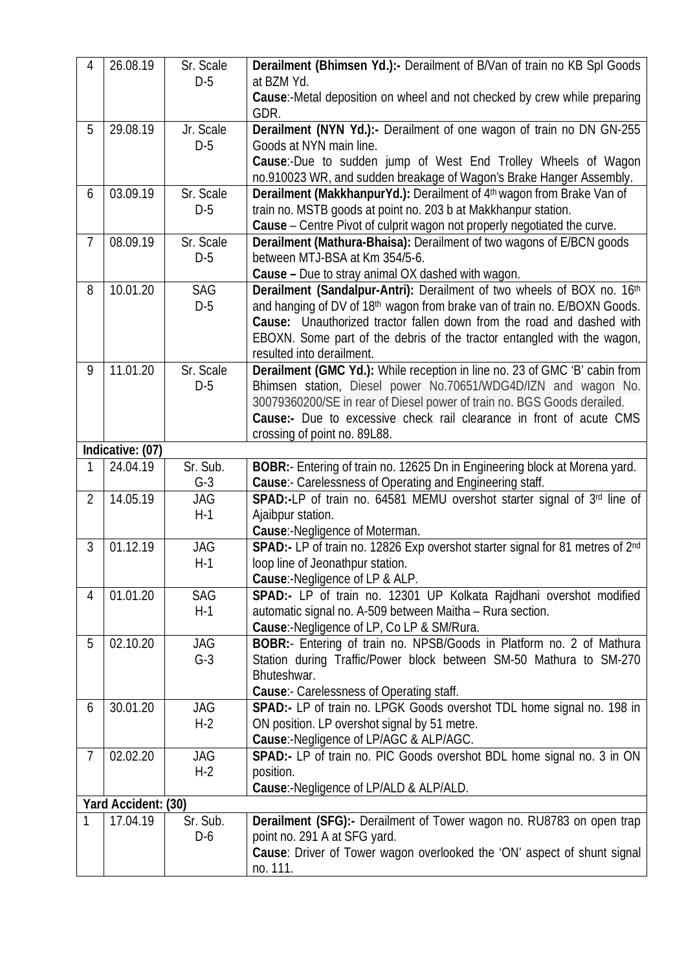| 4              | 26.08.19            | Sr. Scale<br>$D-5$  | Derailment (Bhimsen Yd.):- Derailment of B/Van of train no KB Spl Goods<br>at BZM Yd.                                                                                                                                                                                                                                                |
|----------------|---------------------|---------------------|--------------------------------------------------------------------------------------------------------------------------------------------------------------------------------------------------------------------------------------------------------------------------------------------------------------------------------------|
|                |                     |                     | Cause:-Metal deposition on wheel and not checked by crew while preparing<br>GDR.                                                                                                                                                                                                                                                     |
| 5              | 29.08.19            | Jr. Scale<br>$D-5$  | Derailment (NYN Yd.):- Derailment of one wagon of train no DN GN-255<br>Goods at NYN main line.<br>Cause:-Due to sudden jump of West End Trolley Wheels of Wagon<br>no.910023 WR, and sudden breakage of Wagon's Brake Hanger Assembly.                                                                                              |
| 6              | 03.09.19            | Sr. Scale<br>$D-5$  | Derailment (MakkhanpurYd.): Derailment of 4th wagon from Brake Van of<br>train no. MSTB goods at point no. 203 b at Makkhanpur station.<br>Cause - Centre Pivot of culprit wagon not properly negotiated the curve.                                                                                                                  |
| $\overline{7}$ | 08.09.19            | Sr. Scale<br>$D-5$  | Derailment (Mathura-Bhaisa): Derailment of two wagons of E/BCN goods<br>between MTJ-BSA at Km 354/5-6.<br><b>Cause</b> – Due to stray animal OX dashed with wagon.                                                                                                                                                                   |
| 8              | 10.01.20            | <b>SAG</b><br>$D-5$ | Derailment (Sandalpur-Antri): Derailment of two wheels of BOX no. 16th<br>and hanging of DV of 18th wagon from brake van of train no. E/BOXN Goods.<br>Cause: Unauthorized tractor fallen down from the road and dashed with<br>EBOXN. Some part of the debris of the tractor entangled with the wagon,<br>resulted into derailment. |
| 9              | 11.01.20            | Sr. Scale<br>$D-5$  | Derailment (GMC Yd.): While reception in line no. 23 of GMC 'B' cabin from<br>Bhimsen station, Diesel power No.70651/WDG4D/IZN and wagon No.<br>30079360200/SE in rear of Diesel power of train no. BGS Goods derailed.<br>Cause:- Due to excessive check rail clearance in front of acute CMS<br>crossing of point no. 89L88.       |
|                | Indicative: (07)    |                     |                                                                                                                                                                                                                                                                                                                                      |
| 1              | 24.04.19            | Sr. Sub.<br>$G-3$   | BOBR: Entering of train no. 12625 Dn in Engineering block at Morena yard.<br>Cause: Carelessness of Operating and Engineering staff.                                                                                                                                                                                                 |
| $\overline{2}$ | 14.05.19            | JAG                 | SPAD:-LP of train no. 64581 MEMU overshot starter signal of 3rd line of                                                                                                                                                                                                                                                              |
|                |                     | $H-1$               | Ajaibpur station.<br>Cause: Negligence of Moterman.                                                                                                                                                                                                                                                                                  |
| 3              | 01.12.19            | JAG<br>$H-1$        | SPAD:- LP of train no. 12826 Exp overshot starter signal for 81 metres of 2nd<br>loop line of Jeonathpur station.<br>Cause:-Negligence of LP & ALP.                                                                                                                                                                                  |
| 4              | 01.01.20            | <b>SAG</b><br>$H-1$ | SPAD:- LP of train no. 12301 UP Kolkata Rajdhani overshot modified<br>automatic signal no. A-509 between Maitha - Rura section.<br>Cause:-Negligence of LP, Co LP & SM/Rura.                                                                                                                                                         |
| 5              | 02.10.20            | <b>JAG</b><br>$G-3$ | BOBR:- Entering of train no. NPSB/Goods in Platform no. 2 of Mathura<br>Station during Traffic/Power block between SM-50 Mathura to SM-270<br>Bhuteshwar.<br><b>Cause:</b> Carelessness of Operating staff.                                                                                                                          |
| 6              | 30.01.20            | <b>JAG</b><br>$H-2$ | SPAD:- LP of train no. LPGK Goods overshot TDL home signal no. 198 in<br>ON position. LP overshot signal by 51 metre.<br>Cause:-Negligence of LP/AGC & ALP/AGC.                                                                                                                                                                      |
| 7              | 02.02.20            | JAG<br>$H-2$        | SPAD:- LP of train no. PIC Goods overshot BDL home signal no. 3 in ON<br>position.<br>Cause:-Negligence of LP/ALD & ALP/ALD.                                                                                                                                                                                                         |
|                | Yard Accident: (30) |                     |                                                                                                                                                                                                                                                                                                                                      |
| 1              | 17.04.19            | Sr. Sub.<br>D-6     | <b>Derailment (SFG):-</b> Derailment of Tower wagon no. RU8783 on open trap<br>point no. 291 A at SFG yard.<br>Cause: Driver of Tower wagon overlooked the 'ON' aspect of shunt signal<br>no. 111.                                                                                                                                   |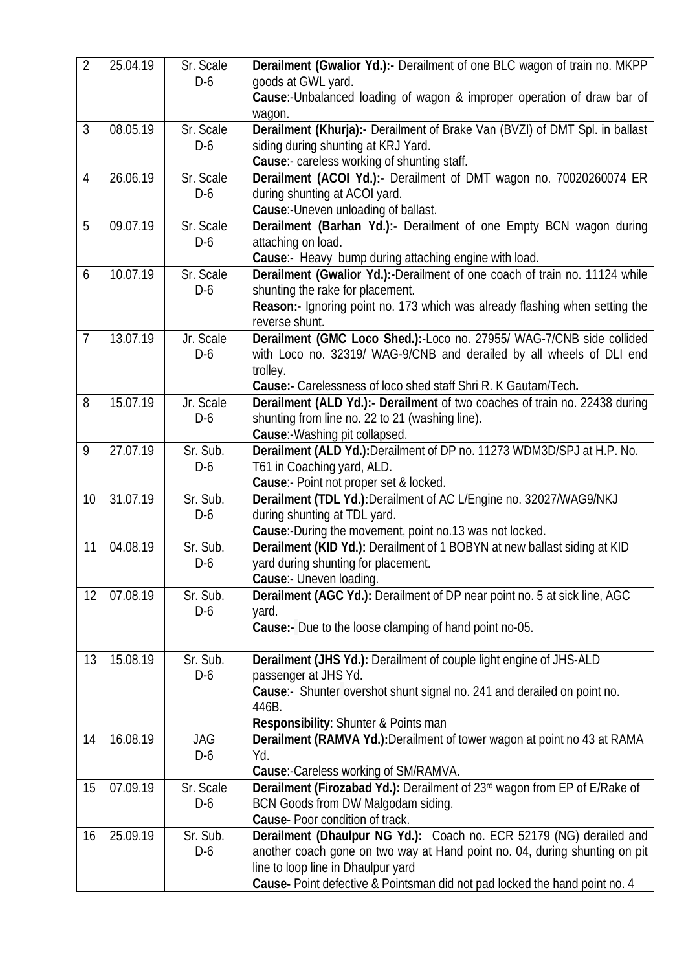| $\overline{2}$ | 25.04.19 | Sr. Scale<br>$D-6$ | Derailment (Gwalior Yd.):- Derailment of one BLC wagon of train no. MKPP<br>goods at GWL yard.<br>Cause:- Unbalanced loading of wagon & improper operation of draw bar of<br>wagon.                                                                                   |
|----------------|----------|--------------------|-----------------------------------------------------------------------------------------------------------------------------------------------------------------------------------------------------------------------------------------------------------------------|
| $\mathfrak{Z}$ | 08.05.19 | Sr. Scale<br>$D-6$ | Derailment (Khurja):- Derailment of Brake Van (BVZI) of DMT Spl. in ballast<br>siding during shunting at KRJ Yard.<br>Cause:- careless working of shunting staff.                                                                                                     |
| 4              | 26.06.19 | Sr. Scale<br>$D-6$ | Derailment (ACOI Yd.):- Derailment of DMT wagon no. 70020260074 ER<br>during shunting at ACOI yard.<br>Cause: Uneven unloading of ballast.                                                                                                                            |
| 5              | 09.07.19 | Sr. Scale<br>$D-6$ | Derailment (Barhan Yd.):- Derailment of one Empty BCN wagon during<br>attaching on load.<br>Cause: Heavy bump during attaching engine with load.                                                                                                                      |
| 6              | 10.07.19 | Sr. Scale<br>$D-6$ | Derailment (Gwalior Yd.):-Derailment of one coach of train no. 11124 while<br>shunting the rake for placement.<br>Reason:- Ignoring point no. 173 which was already flashing when setting the<br>reverse shunt.                                                       |
| $\overline{7}$ | 13.07.19 | Jr. Scale<br>$D-6$ | Derailment (GMC Loco Shed.):- Loco no. 27955/ WAG-7/CNB side collided<br>with Loco no. 32319/ WAG-9/CNB and derailed by all wheels of DLI end<br>trolley.<br>Cause:- Carelessness of loco shed staff Shri R. K Gautam/Tech.                                           |
| 8              | 15.07.19 | Jr. Scale<br>$D-6$ | Derailment (ALD Yd.):- Derailment of two coaches of train no. 22438 during<br>shunting from line no. 22 to 21 (washing line).<br>Cause:-Washing pit collapsed.                                                                                                        |
| 9              | 27.07.19 | Sr. Sub.<br>$D-6$  | Derailment (ALD Yd.): Derailment of DP no. 11273 WDM3D/SPJ at H.P. No.<br>T61 in Coaching yard, ALD.<br><b>Cause:-</b> Point not proper set & locked.                                                                                                                 |
| 10             | 31.07.19 | Sr. Sub.<br>$D-6$  | Derailment (TDL Yd.): Derailment of AC L/Engine no. 32027/WAG9/NKJ<br>during shunting at TDL yard.<br>Cause:-During the movement, point no.13 was not locked.                                                                                                         |
| 11             | 04.08.19 | Sr. Sub.<br>$D-6$  | Derailment (KID Yd.): Derailment of 1 BOBYN at new ballast siding at KID<br>yard during shunting for placement.<br>Cause:- Uneven loading.                                                                                                                            |
| 12             | 07.08.19 | Sr. Sub.<br>D-6    | Derailment (AGC Yd.): Derailment of DP near point no. 5 at sick line, AGC<br>yard.<br><b>Cause:-</b> Due to the loose clamping of hand point no-05.                                                                                                                   |
| 13             | 15.08.19 | Sr. Sub.<br>$D-6$  | Derailment (JHS Yd.): Derailment of couple light engine of JHS-ALD<br>passenger at JHS Yd.<br>Cause: Shunter overshot shunt signal no. 241 and derailed on point no.<br>446B.<br>Responsibility: Shunter & Points man                                                 |
| 14             | 16.08.19 | JAG<br>D-6         | Derailment (RAMVA Yd.): Derailment of tower wagon at point no 43 at RAMA<br>Yd.<br>Cause:-Careless working of SM/RAMVA.                                                                                                                                               |
| 15             | 07.09.19 | Sr. Scale<br>$D-6$ | Derailment (Firozabad Yd.): Derailment of 23rd wagon from EP of E/Rake of<br>BCN Goods from DW Malgodam siding.<br>Cause- Poor condition of track.                                                                                                                    |
| 16             | 25.09.19 | Sr. Sub.<br>$D-6$  | Derailment (Dhaulpur NG Yd.): Coach no. ECR 52179 (NG) derailed and<br>another coach gone on two way at Hand point no. 04, during shunting on pit<br>line to loop line in Dhaulpur yard<br>Cause- Point defective & Pointsman did not pad locked the hand point no. 4 |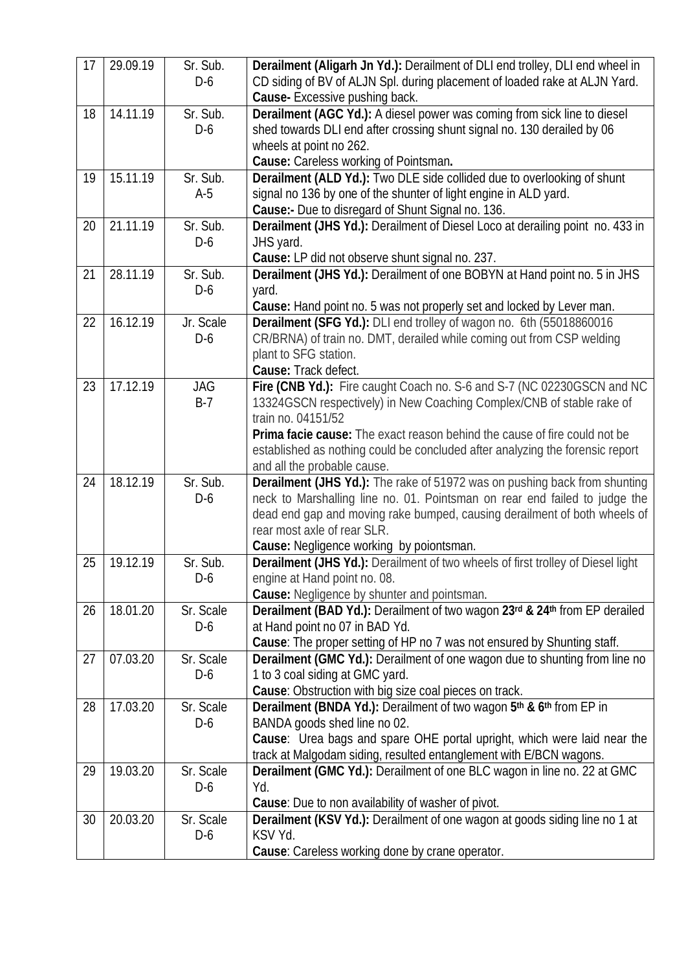| 17 | 29.09.19 | Sr. Sub.<br>D-6     | Derailment (Aligarh Jn Yd.): Derailment of DLI end trolley, DLI end wheel in<br>CD siding of BV of ALJN Spl. during placement of loaded rake at ALJN Yard.<br><b>Cause-</b> Excessive pushing back.                                                                                                                                                                       |
|----|----------|---------------------|---------------------------------------------------------------------------------------------------------------------------------------------------------------------------------------------------------------------------------------------------------------------------------------------------------------------------------------------------------------------------|
| 18 | 14.11.19 | Sr. Sub.<br>$D-6$   | Derailment (AGC Yd.): A diesel power was coming from sick line to diesel<br>shed towards DLI end after crossing shunt signal no. 130 derailed by 06<br>wheels at point no 262.<br>Cause: Careless working of Pointsman.                                                                                                                                                   |
| 19 | 15.11.19 | Sr. Sub.<br>$A-5$   | <b>Derailment (ALD Yd.):</b> Two DLE side collided due to overlooking of shunt<br>signal no 136 by one of the shunter of light engine in ALD yard.<br>Cause:- Due to disregard of Shunt Signal no. 136.                                                                                                                                                                   |
| 20 | 21.11.19 | Sr. Sub.<br>$D-6$   | <b>Derailment (JHS Yd.):</b> Derailment of Diesel Loco at derailing point no. 433 in<br>JHS yard.<br>Cause: LP did not observe shunt signal no. 237.                                                                                                                                                                                                                      |
| 21 | 28.11.19 | Sr. Sub.<br>$D-6$   | Derailment (JHS Yd.): Derailment of one BOBYN at Hand point no. 5 in JHS<br>yard.<br>Cause: Hand point no. 5 was not properly set and locked by Lever man.                                                                                                                                                                                                                |
| 22 | 16.12.19 | Jr. Scale<br>$D-6$  | Derailment (SFG Yd.): DLI end trolley of wagon no. 6th (55018860016<br>CR/BRNA) of train no. DMT, derailed while coming out from CSP welding<br>plant to SFG station.<br><b>Cause: Track defect.</b>                                                                                                                                                                      |
| 23 | 17.12.19 | <b>JAG</b><br>$B-7$ | Fire (CNB Yd.): Fire caught Coach no. S-6 and S-7 (NC 02230GSCN and NC<br>13324GSCN respectively) in New Coaching Complex/CNB of stable rake of<br>train no. 04151/52<br><b>Prima facie cause:</b> The exact reason behind the cause of fire could not be<br>established as nothing could be concluded after analyzing the forensic report<br>and all the probable cause. |
| 24 | 18.12.19 | Sr. Sub.<br>$D-6$   | <b>Derailment (JHS Yd.):</b> The rake of 51972 was on pushing back from shunting<br>neck to Marshalling line no. 01. Pointsman on rear end failed to judge the<br>dead end gap and moving rake bumped, causing derailment of both wheels of<br>rear most axle of rear SLR.<br><b>Cause:</b> Negligence working by poiontsman.                                             |
| 25 | 19.12.19 | Sr. Sub.<br>$D-6$   | <b>Derailment (JHS Yd.):</b> Derailment of two wheels of first trolley of Diesel light<br>engine at Hand point no. 08.<br>Cause: Negligence by shunter and pointsman.                                                                                                                                                                                                     |
| 26 | 18.01.20 | Sr. Scale<br>D-6    | Derailment (BAD Yd.): Derailment of two wagon 23rd & 24th from EP derailed<br>at Hand point no 07 in BAD Yd.<br>Cause: The proper setting of HP no 7 was not ensured by Shunting staff.                                                                                                                                                                                   |
| 27 | 07.03.20 | Sr. Scale<br>$D-6$  | <b>Derailment (GMC Yd.):</b> Derailment of one wagon due to shunting from line no<br>1 to 3 coal siding at GMC yard.<br>Cause: Obstruction with big size coal pieces on track.                                                                                                                                                                                            |
| 28 | 17.03.20 | Sr. Scale<br>$D-6$  | Derailment (BNDA Yd.): Derailment of two wagon 5th & 6th from EP in<br>BANDA goods shed line no 02.<br>Cause: Urea bags and spare OHE portal upright, which were laid near the<br>track at Malgodam siding, resulted entanglement with E/BCN wagons.                                                                                                                      |
| 29 | 19.03.20 | Sr. Scale<br>$D-6$  | Derailment (GMC Yd.): Derailment of one BLC wagon in line no. 22 at GMC<br>Yd.<br>Cause: Due to non availability of washer of pivot.                                                                                                                                                                                                                                      |
| 30 | 20.03.20 | Sr. Scale<br>$D-6$  | <b>Derailment (KSV Yd.):</b> Derailment of one wagon at goods siding line no 1 at<br>KSV Yd.<br>Cause: Careless working done by crane operator.                                                                                                                                                                                                                           |